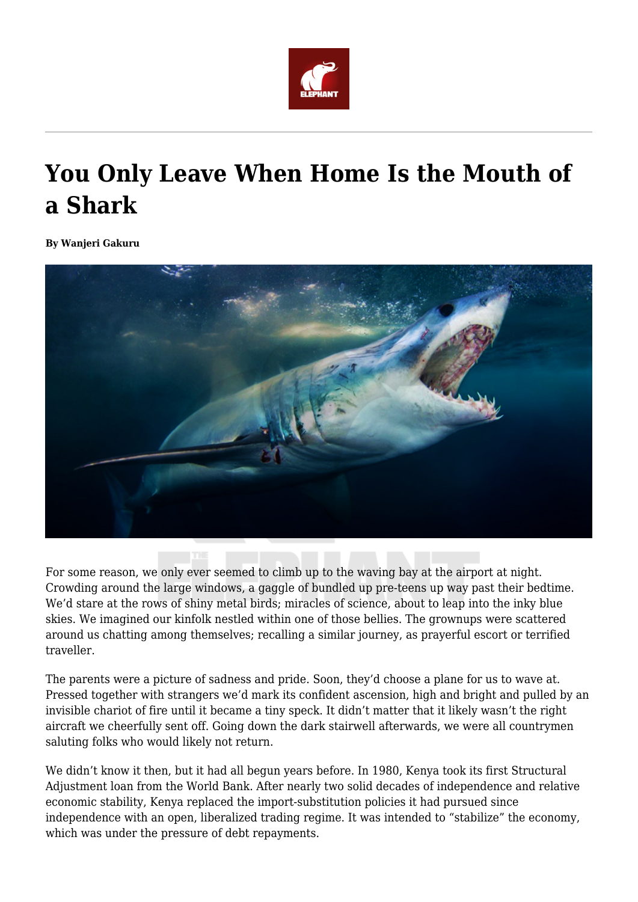

## **You Only Leave When Home Is the Mouth of a Shark**

**By Wanjeri Gakuru**



For some reason, we only ever seemed to climb up to the waving bay at the airport at night. Crowding around the large windows, a gaggle of bundled up pre-teens up way past their bedtime. We'd stare at the rows of shiny metal birds; miracles of science, about to leap into the inky blue skies. We imagined our kinfolk nestled within one of those bellies. The grownups were scattered around us chatting among themselves; recalling a similar journey, as prayerful escort or terrified traveller.

The parents were a picture of sadness and pride. Soon, they'd choose a plane for us to wave at. Pressed together with strangers we'd mark its confident ascension, high and bright and pulled by an invisible chariot of fire until it became a tiny speck. It didn't matter that it likely wasn't the right aircraft we cheerfully sent off. Going down the dark stairwell afterwards, we were all countrymen saluting folks who would likely not return.

We didn't know it then, but it had all begun years before. In 1980, Kenya took its first Structural Adjustment loan from the World Bank. After nearly two solid decades of independence and relative economic stability, Kenya replaced the import-substitution policies it had pursued since independence with an open, liberalized trading regime. It was intended to "stabilize" the economy, which was under the pressure of debt repayments.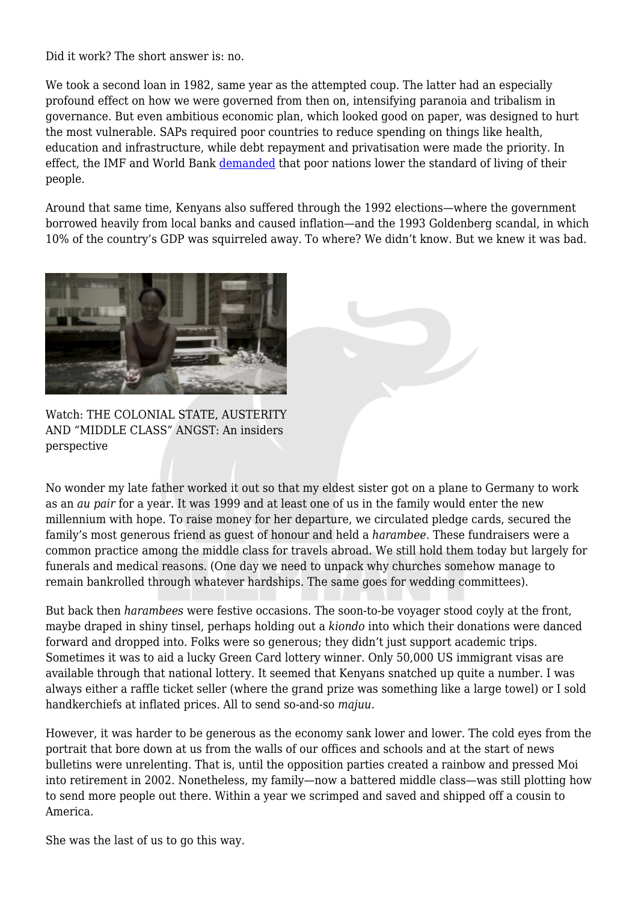Did it work? The short answer is: no.

We took a second loan in 1982, same year as the attempted coup. The latter had an especially profound effect on how we were governed from then on, intensifying paranoia and tribalism in governance. But even ambitious economic plan, which looked good on paper, was designed to hurt the most vulnerable. SAPs required poor countries to reduce spending on things like health, education and infrastructure, while debt repayment and privatisation were made the priority. In effect, the IMF and World Bank [demanded](http://www.globalissues.org/article/3/structural-adjustment-a-major-cause-of-poverty) that poor nations lower the standard of living of their people.

Around that same time, Kenyans also suffered through the 1992 elections—where the government borrowed heavily from local banks and caused inflation—and the 1993 Goldenberg scandal, in which 10% of the country's GDP was squirreled away. To where? We didn't know. But we knew it was bad.



Watch: THE COLONIAL STATE, AUSTERITY AND "MIDDLE CLASS" ANGST: An insiders perspective

No wonder my late father worked it out so that my eldest sister got on a plane to Germany to work as an *au pair* for a year. It was 1999 and at least one of us in the family would enter the new millennium with hope. To raise money for her departure, we circulated pledge cards, secured the family's most generous friend as guest of honour and held a *harambee*. These fundraisers were a common practice among the middle class for travels abroad. We still hold them today but largely for funerals and medical reasons. (One day we need to unpack why churches somehow manage to remain bankrolled through whatever hardships. The same goes for wedding committees).

But back then *harambees* were festive occasions. The soon-to-be voyager stood coyly at the front, maybe draped in shiny tinsel, perhaps holding out a *kiondo* into which their donations were danced forward and dropped into. Folks were so generous; they didn't just support academic trips. Sometimes it was to aid a lucky Green Card lottery winner. Only 50,000 US immigrant visas are available through that national lottery. It seemed that Kenyans snatched up quite a number. I was always either a raffle ticket seller (where the grand prize was something like a large towel) or I sold handkerchiefs at inflated prices. All to send so-and-so *majuu*.

However, it was harder to be generous as the economy sank lower and lower. The cold eyes from the portrait that bore down at us from the walls of our offices and schools and at the start of news bulletins were unrelenting. That is, until the opposition parties created a rainbow and pressed Moi into retirement in 2002. Nonetheless, my family—now a battered middle class—was still plotting how to send more people out there. Within a year we scrimped and saved and shipped off a cousin to America.

She was the last of us to go this way.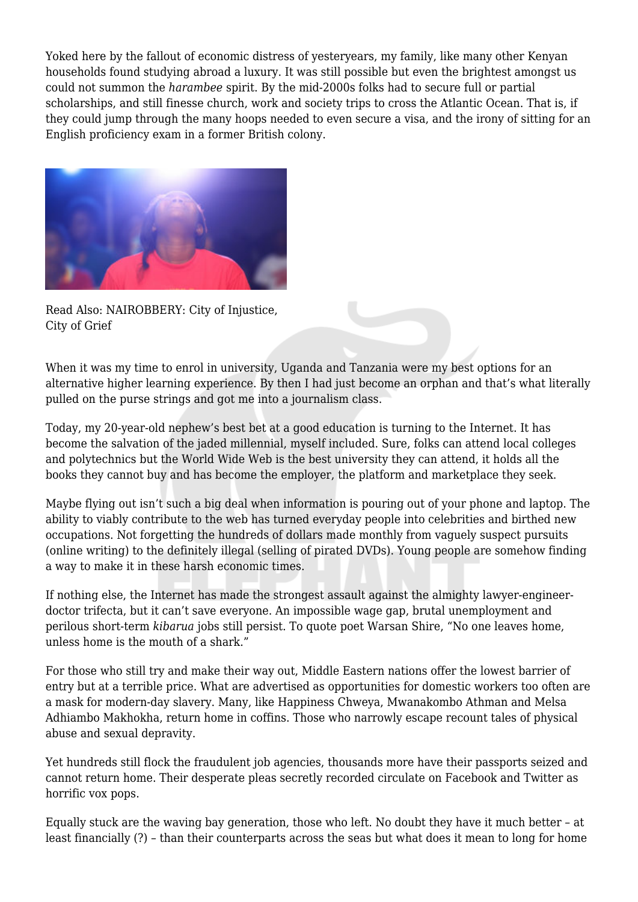Yoked here by the fallout of economic distress of yesteryears, my family, like many other Kenyan households found studying abroad a luxury. It was still possible but even the brightest amongst us could not summon the *harambee* spirit. By the mid-2000s folks had to secure full or partial scholarships, and still finesse church, work and society trips to cross the Atlantic Ocean. That is, if they could jump through the many hoops needed to even secure a visa, and the irony of sitting for an English proficiency exam in a former British colony.



Read Also: NAIROBBERY: City of Injustice, City of Grief

When it was my time to enrol in university, Uganda and Tanzania were my best options for an alternative higher learning experience. By then I had just become an orphan and that's what literally pulled on the purse strings and got me into a journalism class.

Today, my 20-year-old nephew's best bet at a good education is turning to the Internet. It has become the salvation of the jaded millennial, myself included. Sure, folks can attend local colleges and polytechnics but the World Wide Web is the best university they can attend, it holds all the books they cannot buy and has become the employer, the platform and marketplace they seek.

Maybe flying out isn't such a big deal when information is pouring out of your phone and laptop. The ability to viably contribute to the web has turned everyday people into celebrities and birthed new occupations. Not forgetting the hundreds of dollars made monthly from vaguely suspect pursuits (online writing) to the definitely illegal (selling of pirated DVDs). Young people are somehow finding a way to make it in these harsh economic times.

If nothing else, the Internet has made the strongest assault against the almighty lawyer-engineerdoctor trifecta, but it can't save everyone. An impossible wage gap, brutal unemployment and perilous short-term *kibarua* jobs still persist. To quote poet Warsan Shire, "No one leaves home, unless home is the mouth of a shark."

For those who still try and make their way out, Middle Eastern nations offer the lowest barrier of entry but at a terrible price. What are advertised as opportunities for domestic workers too often are a mask for modern-day slavery. Many, like Happiness Chweya, Mwanakombo Athman and Melsa Adhiambo Makhokha, return home in coffins. Those who narrowly escape recount tales of physical abuse and sexual depravity.

Yet hundreds still flock the fraudulent job agencies, thousands more have their passports seized and cannot return home. Their desperate pleas secretly recorded circulate on Facebook and Twitter as horrific vox pops.

Equally stuck are the waving bay generation, those who left. No doubt they have it much better – at least financially (?) – than their counterparts across the seas but what does it mean to long for home